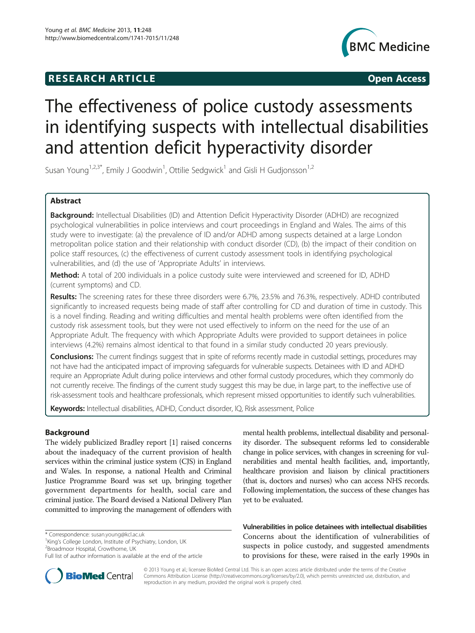# **RESEARCH ARTICLE Example 2014 CONSIDERING CONSIDERING CONSIDERING CONSIDERING CONSIDERING CONSIDERING CONSIDERING CONSIDERING CONSIDERING CONSIDERING CONSIDERING CONSIDERING CONSIDERING CONSIDERING CONSIDERING CONSIDE**



# The effectiveness of police custody assessments in identifying suspects with intellectual disabilities and attention deficit hyperactivity disorder

Susan Young<sup>1,2,3\*</sup>, Emily J Goodwin<sup>1</sup>, Ottilie Sedgwick<sup>1</sup> and Gisli H Gudjonsson<sup>1,2</sup>

# Abstract

Background: Intellectual Disabilities (ID) and Attention Deficit Hyperactivity Disorder (ADHD) are recognized psychological vulnerabilities in police interviews and court proceedings in England and Wales. The aims of this study were to investigate: (a) the prevalence of ID and/or ADHD among suspects detained at a large London metropolitan police station and their relationship with conduct disorder (CD), (b) the impact of their condition on police staff resources, (c) the effectiveness of current custody assessment tools in identifying psychological vulnerabilities, and (d) the use of 'Appropriate Adults' in interviews.

Method: A total of 200 individuals in a police custody suite were interviewed and screened for ID, ADHD (current symptoms) and CD.

Results: The screening rates for these three disorders were 6.7%, 23.5% and 76.3%, respectively. ADHD contributed significantly to increased requests being made of staff after controlling for CD and duration of time in custody. This is a novel finding. Reading and writing difficulties and mental health problems were often identified from the custody risk assessment tools, but they were not used effectively to inform on the need for the use of an Appropriate Adult. The frequency with which Appropriate Adults were provided to support detainees in police interviews (4.2%) remains almost identical to that found in a similar study conducted 20 years previously.

**Conclusions:** The current findings suggest that in spite of reforms recently made in custodial settings, procedures may not have had the anticipated impact of improving safeguards for vulnerable suspects. Detainees with ID and ADHD require an Appropriate Adult during police interviews and other formal custody procedures, which they commonly do not currently receive. The findings of the current study suggest this may be due, in large part, to the ineffective use of risk-assessment tools and healthcare professionals, which represent missed opportunities to identify such vulnerabilities.

Keywords: Intellectual disabilities, ADHD, Conduct disorder, IQ, Risk assessment, Police

# **Background**

The widely publicized Bradley report [\[1](#page-9-0)] raised concerns about the inadequacy of the current provision of health services within the criminal justice system (CJS) in England and Wales. In response, a national Health and Criminal Justice Programme Board was set up, bringing together government departments for health, social care and criminal justice. The Board devised a National Delivery Plan committed to improving the management of offenders with

\* Correspondence: [susan.young@kcl.ac.uk](mailto:susan.young@kcl.ac.uk) <sup>1</sup>

<sup>1</sup>King's College London, Institute of Psychiatry, London, UK <sup>2</sup>Broadmoor Hospital, Crowthorne, UK

mental health problems, intellectual disability and personality disorder. The subsequent reforms led to considerable change in police services, with changes in screening for vulnerabilities and mental health facilities, and, importantly, healthcare provision and liaison by clinical practitioners (that is, doctors and nurses) who can access NHS records. Following implementation, the success of these changes has yet to be evaluated.

Vulnerabilities in police detainees with intellectual disabilities Concerns about the identification of vulnerabilities of suspects in police custody, and suggested amendments to provisions for these, were raised in the early 1990s in



© 2013 Young et al.; licensee BioMed Central Ltd. This is an open access article distributed under the terms of the Creative Commons Attribution License [\(http://creativecommons.org/licenses/by/2.0\)](http://creativecommons.org/licenses/by/2.0), which permits unrestricted use, distribution, and reproduction in any medium, provided the original work is properly cited.

Full list of author information is available at the end of the article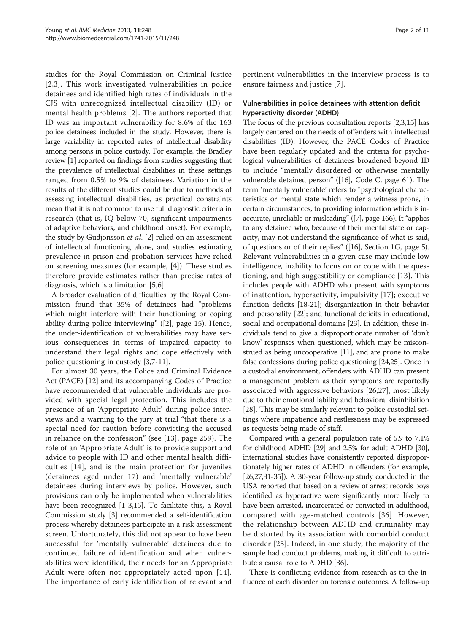studies for the Royal Commission on Criminal Justice [[2,3\]](#page-9-0). This work investigated vulnerabilities in police detainees and identified high rates of individuals in the CJS with unrecognized intellectual disability (ID) or mental health problems [[2\]](#page-9-0). The authors reported that ID was an important vulnerability for 8.6% of the 163 police detainees included in the study. However, there is large variability in reported rates of intellectual disability among persons in police custody. For example, the Bradley review [[1](#page-9-0)] reported on findings from studies suggesting that the prevalence of intellectual disabilities in these settings ranged from 0.5% to 9% of detainees. Variation in the results of the different studies could be due to methods of assessing intellectual disabilities, as practical constraints mean that it is not common to use full diagnostic criteria in research (that is, IQ below 70, significant impairments of adaptive behaviors, and childhood onset). For example, the study by Gudjonsson et al. [[2\]](#page-9-0) relied on an assessment of intellectual functioning alone, and studies estimating prevalence in prison and probation services have relied on screening measures (for example, [[4\]](#page-9-0)). These studies therefore provide estimates rather than precise rates of diagnosis, which is a limitation [\[5](#page-9-0),[6\]](#page-9-0).

A broader evaluation of difficulties by the Royal Commission found that 35% of detainees had "problems which might interfere with their functioning or coping ability during police interviewing" ([\[2](#page-9-0)], page 15). Hence, the under-identification of vulnerabilities may have serious consequences in terms of impaired capacity to understand their legal rights and cope effectively with police questioning in custody [[3,7-11](#page-9-0)].

For almost 30 years, the Police and Criminal Evidence Act (PACE) [[12](#page-9-0)] and its accompanying Codes of Practice have recommended that vulnerable individuals are provided with special legal protection. This includes the presence of an 'Appropriate Adult' during police interviews and a warning to the jury at trial "that there is a special need for caution before convicting the accused in reliance on the confession" (see [[13\]](#page-9-0), page 259). The role of an 'Appropriate Adult' is to provide support and advice to people with ID and other mental health difficulties [[14](#page-9-0)], and is the main protection for juveniles (detainees aged under 17) and 'mentally vulnerable' detainees during interviews by police. However, such provisions can only be implemented when vulnerabilities have been recognized [\[1](#page-9-0)-[3,15](#page-9-0)]. To facilitate this, a Royal Commission study [\[3](#page-9-0)] recommended a self-identification process whereby detainees participate in a risk assessment screen. Unfortunately, this did not appear to have been successful for 'mentally vulnerable' detainees due to continued failure of identification and when vulnerabilities were identified, their needs for an Appropriate Adult were often not appropriately acted upon [[14](#page-9-0)]. The importance of early identification of relevant and

pertinent vulnerabilities in the interview process is to ensure fairness and justice [\[7](#page-9-0)].

# Vulnerabilities in police detainees with attention deficit hyperactivity disorder (ADHD)

The focus of the previous consultation reports [\[2,3,15](#page-9-0)] has largely centered on the needs of offenders with intellectual disabilities (ID). However, the PACE Codes of Practice have been regularly updated and the criteria for psychological vulnerabilities of detainees broadened beyond ID to include "mentally disordered or otherwise mentally vulnerable detained person" ([\[16](#page-9-0)], Code C, page 61). The term 'mentally vulnerable' refers to "psychological characteristics or mental state which render a witness prone, in certain circumstances, to providing information which is inaccurate, unreliable or misleading" ([\[7\]](#page-9-0), page 166). It "applies to any detainee who, because of their mental state or capacity, may not understand the significance of what is said, of questions or of their replies" ([[16](#page-9-0)], Section 1G, page 5). Relevant vulnerabilities in a given case may include low intelligence, inability to focus on or cope with the questioning, and high suggestibility or compliance [[13\]](#page-9-0). This includes people with ADHD who present with symptoms of inattention, hyperactivity, impulsivity [\[17\]](#page-9-0); executive function deficits [\[18-21](#page-9-0)]; disorganization in their behavior and personality [[22\]](#page-9-0); and functional deficits in educational, social and occupational domains [[23](#page-9-0)]. In addition, these individuals tend to give a disproportionate number of 'don't know' responses when questioned, which may be misconstrued as being uncooperative [[11\]](#page-9-0), and are prone to make false confessions during police questioning [\[24,25\]](#page-9-0). Once in a custodial environment, offenders with ADHD can present a management problem as their symptoms are reportedly associated with aggressive behaviors [\[26,27](#page-9-0)], most likely due to their emotional lability and behavioral disinhibition [[28](#page-9-0)]. This may be similarly relevant to police custodial settings where impatience and restlessness may be expressed as requests being made of staff.

Compared with a general population rate of 5.9 to 7.1% for childhood ADHD [\[29\]](#page-9-0) and 2.5% for adult ADHD [\[30](#page-9-0)], international studies have consistently reported disproportionately higher rates of ADHD in offenders (for example, [[26,27,31-35\]](#page-9-0)). A 30-year follow-up study conducted in the USA reported that based on a review of arrest records boys identified as hyperactive were significantly more likely to have been arrested, incarcerated or convicted in adulthood, compared with age-matched controls [[36](#page-9-0)]. However, the relationship between ADHD and criminality may be distorted by its association with comorbid conduct disorder [\[25\]](#page-9-0). Indeed, in one study, the majority of the sample had conduct problems, making it difficult to attribute a causal role to ADHD [\[36\]](#page-9-0).

There is conflicting evidence from research as to the influence of each disorder on forensic outcomes. A follow-up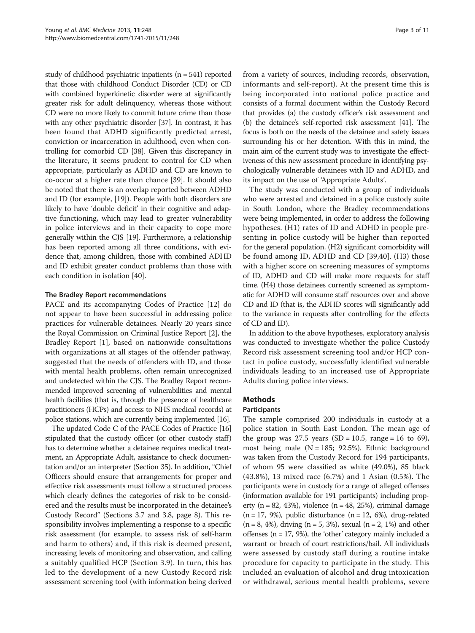study of childhood psychiatric inpatients  $(n = 541)$  reported that those with childhood Conduct Disorder (CD) or CD with combined hyperkinetic disorder were at significantly greater risk for adult delinquency, whereas those without CD were no more likely to commit future crime than those with any other psychiatric disorder [\[37](#page-9-0)]. In contrast, it has been found that ADHD significantly predicted arrest, conviction or incarceration in adulthood, even when controlling for comorbid CD [[38](#page-9-0)]. Given this discrepancy in the literature, it seems prudent to control for CD when appropriate, particularly as ADHD and CD are known to co-occur at a higher rate than chance [\[39\]](#page-9-0). It should also be noted that there is an overlap reported between ADHD and ID (for example, [\[19](#page-9-0)]). People with both disorders are likely to have 'double deficit' in their cognitive and adaptive functioning, which may lead to greater vulnerability in police interviews and in their capacity to cope more generally within the CJS [\[19\]](#page-9-0). Furthermore, a relationship has been reported among all three conditions, with evidence that, among children, those with combined ADHD and ID exhibit greater conduct problems than those with each condition in isolation [\[40\]](#page-9-0).

#### The Bradley Report recommendations

PACE and its accompanying Codes of Practice [[12\]](#page-9-0) do not appear to have been successful in addressing police practices for vulnerable detainees. Nearly 20 years since the Royal Commission on Criminal Justice Report [[2\]](#page-9-0), the Bradley Report [[1\]](#page-9-0), based on nationwide consultations with organizations at all stages of the offender pathway, suggested that the needs of offenders with ID, and those with mental health problems, often remain unrecognized and undetected within the CJS. The Bradley Report recommended improved screening of vulnerabilities and mental health facilities (that is, through the presence of healthcare practitioners (HCPs) and access to NHS medical records) at police stations, which are currently being implemented [\[16](#page-9-0)].

The updated Code C of the PACE Codes of Practice [\[16](#page-9-0)] stipulated that the custody officer (or other custody staff) has to determine whether a detainee requires medical treatment, an Appropriate Adult, assistance to check documentation and/or an interpreter (Section 35). In addition, "Chief Officers should ensure that arrangements for proper and effective risk assessments must follow a structured process which clearly defines the categories of risk to be considered and the results must be incorporated in the detainee's Custody Record" (Sections 3.7 and 3.8, page 8). This responsibility involves implementing a response to a specific risk assessment (for example, to assess risk of self-harm and harm to others) and, if this risk is deemed present, increasing levels of monitoring and observation, and calling a suitably qualified HCP (Section 3.9). In turn, this has led to the development of a new Custody Record risk assessment screening tool (with information being derived

from a variety of sources, including records, observation, informants and self-report). At the present time this is being incorporated into national police practice and consists of a formal document within the Custody Record that provides (a) the custody officer's risk assessment and (b) the detainee's self-reported risk assessment [[41](#page-10-0)]. The focus is both on the needs of the detainee and safety issues surrounding his or her detention. With this in mind, the main aim of the current study was to investigate the effectiveness of this new assessment procedure in identifying psychologically vulnerable detainees with ID and ADHD, and its impact on the use of 'Appropriate Adults'.

The study was conducted with a group of individuals who were arrested and detained in a police custody suite in South London, where the Bradley recommendations were being implemented, in order to address the following hypotheses. (H1) rates of ID and ADHD in people presenting in police custody will be higher than reported for the general population. (H2) significant comorbidity will be found among ID, ADHD and CD [\[39](#page-9-0),[40\]](#page-9-0). (H3) those with a higher score on screening measures of symptoms of ID, ADHD and CD will make more requests for staff time. (H4) those detainees currently screened as symptomatic for ADHD will consume staff resources over and above CD and ID (that is, the ADHD scores will significantly add to the variance in requests after controlling for the effects of CD and ID).

In addition to the above hypotheses, exploratory analysis was conducted to investigate whether the police Custody Record risk assessment screening tool and/or HCP contact in police custody, successfully identified vulnerable individuals leading to an increased use of Appropriate Adults during police interviews.

### Methods

### **Participants**

The sample comprised 200 individuals in custody at a police station in South East London. The mean age of the group was 27.5 years (SD = 10.5, range = 16 to 69), most being male  $(N = 185; 92.5\%)$ . Ethnic background was taken from the Custody Record for 194 participants, of whom 95 were classified as white (49.0%), 85 black (43.8%), 13 mixed race (6.7%) and 1 Asian (0.5%). The participants were in custody for a range of alleged offenses (information available for 191 participants) including property ( $n = 82, 43\%$ ), violence ( $n = 48, 25\%$ ), criminal damage ( $n = 17$ , 9%), public disturbance ( $n = 12$ , 6%), drug-related  $(n = 8, 4\%)$ , driving  $(n = 5, 3\%)$ , sexual  $(n = 2, 1\%)$  and other offenses ( $n = 17$ , 9%), the 'other' category mainly included a warrant or breach of court restrictions/bail. All individuals were assessed by custody staff during a routine intake procedure for capacity to participate in the study. This included an evaluation of alcohol and drug intoxication or withdrawal, serious mental health problems, severe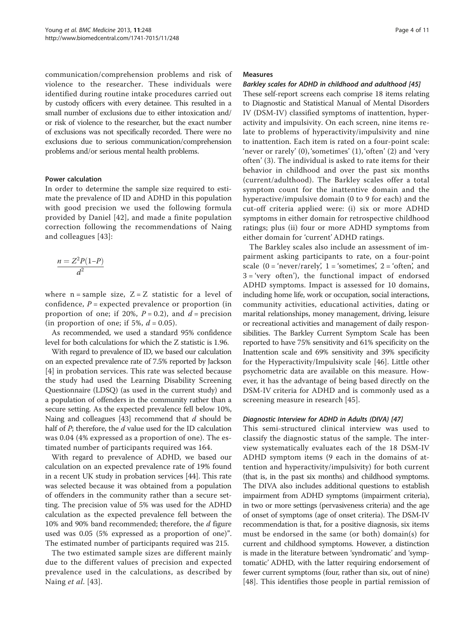communication/comprehension problems and risk of violence to the researcher. These individuals were identified during routine intake procedures carried out by custody officers with every detainee. This resulted in a small number of exclusions due to either intoxication and/ or risk of violence to the researcher, but the exact number of exclusions was not specifically recorded. There were no exclusions due to serious communication/comprehension problems and/or serious mental health problems.

#### Power calculation

In order to determine the sample size required to estimate the prevalence of ID and ADHD in this population with good precision we used the following formula provided by Daniel [[42](#page-10-0)], and made a finite population correction following the recommendations of Naing and colleagues [\[43\]](#page-10-0):

$$
\frac{n = Z^2 P(1-P)}{d^2}
$$

where  $n =$  sample size,  $Z = Z$  statistic for a level of confidence,  $P =$  expected prevalence or proportion (in proportion of one; if 20%,  $P = 0.2$ ), and  $d = \text{precision}$ (in proportion of one; if 5%,  $d = 0.05$ ).

As recommended, we used a standard 95% confidence level for both calculations for which the Z statistic is 1.96.

With regard to prevalence of ID, we based our calculation on an expected prevalence rate of 7.5% reported by Jackson [[4\]](#page-9-0) in probation services. This rate was selected because the study had used the Learning Disability Screening Questionnaire (LDSQ) (as used in the current study) and a population of offenders in the community rather than a secure setting. As the expected prevalence fell below 10%, Naing and colleagues [[43](#page-10-0)] recommend that  $d$  should be half of  $P$ ; therefore, the  $d$  value used for the ID calculation was 0.04 (4% expressed as a proportion of one). The estimated number of participants required was 164.

With regard to prevalence of ADHD, we based our calculation on an expected prevalence rate of 19% found in a recent UK study in probation services [[44\]](#page-10-0). This rate was selected because it was obtained from a population of offenders in the community rather than a secure setting. The precision value of 5% was used for the ADHD calculation as the expected prevalence fell between the 10% and 90% band recommended; therefore, the d figure used was 0.05 (5% expressed as a proportion of one)". The estimated number of participants required was 215.

The two estimated sample sizes are different mainly due to the different values of precision and expected prevalence used in the calculations, as described by Naing et al. [[43\]](#page-10-0).

#### **Measures**

#### Barkley scales for ADHD in childhood and adulthood [\[45\]](#page-10-0)

These self-report screens each comprise 18 items relating to Diagnostic and Statistical Manual of Mental Disorders IV (DSM-IV) classified symptoms of inattention, hyperactivity and impulsivity. On each screen, nine items relate to problems of hyperactivity/impulsivity and nine to inattention. Each item is rated on a four-point scale: 'never or rarely' (0), 'sometimes' (1), 'often' (2) and 'very often' (3). The individual is asked to rate items for their behavior in childhood and over the past six months (current/adulthood). The Barkley scales offer a total symptom count for the inattentive domain and the hyperactive/impulsive domain (0 to 9 for each) and the cut-off criteria applied were: (i) six or more ADHD symptoms in either domain for retrospective childhood ratings; plus (ii) four or more ADHD symptoms from either domain for 'current' ADHD ratings.

The Barkley scales also include an assessment of impairment asking participants to rate, on a four-point scale  $(0 = 'never/rarely', 1 = 'sometimes', 2 = 'often', and$  $3 = 'very often'),$  the functional impact of endorsed ADHD symptoms. Impact is assessed for 10 domains, including home life, work or occupation, social interactions, community activities, educational activities, dating or marital relationships, money management, driving, leisure or recreational activities and management of daily responsibilities. The Barkley Current Symptom Scale has been reported to have 75% sensitivity and 61% specificity on the Inattention scale and 69% sensitivity and 39% specificity for the Hyperactivity/Impulsivity scale [\[46](#page-10-0)]. Little other psychometric data are available on this measure. However, it has the advantage of being based directly on the DSM-IV criteria for ADHD and is commonly used as a screening measure in research [[45\]](#page-10-0).

#### Diagnostic Interview for ADHD in Adults (DIVA) [\[47\]](#page-10-0)

This semi-structured clinical interview was used to classify the diagnostic status of the sample. The interview systematically evaluates each of the 18 DSM-IV ADHD symptom items (9 each in the domains of attention and hyperactivity/impulsivity) for both current (that is, in the past six months) and childhood symptoms. The DIVA also includes additional questions to establish impairment from ADHD symptoms (impairment criteria), in two or more settings (pervasiveness criteria) and the age of onset of symptoms (age of onset criteria). The DSM-IV recommendation is that, for a positive diagnosis, six items must be endorsed in the same (or both) domain(s) for current and childhood symptoms. However, a distinction is made in the literature between 'syndromatic' and 'symptomatic' ADHD, with the latter requiring endorsement of fewer current symptoms (four, rather than six, out of nine) [[48](#page-10-0)]. This identifies those people in partial remission of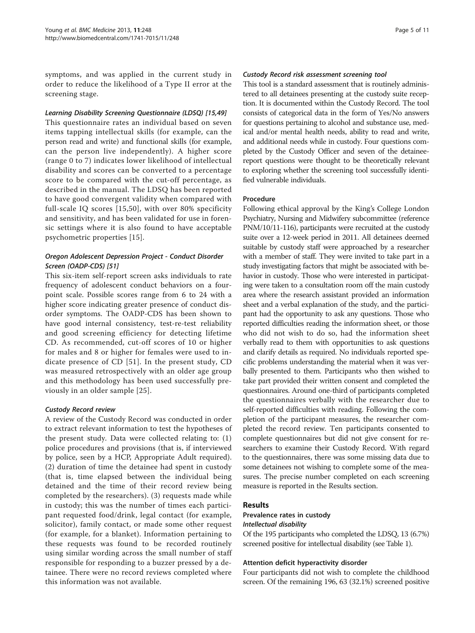symptoms, and was applied in the current study in order to reduce the likelihood of a Type II error at the screening stage.

#### Learning Disability Screening Questionnaire (LDSQ) [[15](#page-9-0)[,49](#page-10-0)]

This questionnaire rates an individual based on seven items tapping intellectual skills (for example, can the person read and write) and functional skills (for example, can the person live independently). A higher score (range 0 to 7) indicates lower likelihood of intellectual disability and scores can be converted to a percentage score to be compared with the cut-off percentage, as described in the manual. The LDSQ has been reported to have good convergent validity when compared with full-scale IQ scores [[15,](#page-9-0)[50\]](#page-10-0), with over 80% specificity and sensitivity, and has been validated for use in forensic settings where it is also found to have acceptable psychometric properties [\[15\]](#page-9-0).

# Oregon Adolescent Depression Project - Conduct Disorder Screen (OADP-CDS) [[51](#page-10-0)]

This six-item self-report screen asks individuals to rate frequency of adolescent conduct behaviors on a fourpoint scale. Possible scores range from 6 to 24 with a higher score indicating greater presence of conduct disorder symptoms. The OADP-CDS has been shown to have good internal consistency, test-re-test reliability and good screening efficiency for detecting lifetime CD. As recommended, cut-off scores of 10 or higher for males and 8 or higher for females were used to indicate presence of CD [\[51\]](#page-10-0). In the present study, CD was measured retrospectively with an older age group and this methodology has been used successfully previously in an older sample [\[25\]](#page-9-0).

### Custody Record review

A review of the Custody Record was conducted in order to extract relevant information to test the hypotheses of the present study. Data were collected relating to: (1) police procedures and provisions (that is, if interviewed by police, seen by a HCP, Appropriate Adult required). (2) duration of time the detainee had spent in custody (that is, time elapsed between the individual being detained and the time of their record review being completed by the researchers). (3) requests made while in custody; this was the number of times each participant requested food/drink, legal contact (for example, solicitor), family contact, or made some other request (for example, for a blanket). Information pertaining to these requests was found to be recorded routinely using similar wording across the small number of staff responsible for responding to a buzzer pressed by a detainee. There were no record reviews completed where this information was not available.

#### Custody Record risk assessment screening tool

This tool is a standard assessment that is routinely administered to all detainees presenting at the custody suite reception. It is documented within the Custody Record. The tool consists of categorical data in the form of Yes/No answers for questions pertaining to alcohol and substance use, medical and/or mental health needs, ability to read and write, and additional needs while in custody. Four questions completed by the Custody Officer and seven of the detaineereport questions were thought to be theoretically relevant to exploring whether the screening tool successfully identified vulnerable individuals.

# Procedure

Following ethical approval by the King's College London Psychiatry, Nursing and Midwifery subcommittee (reference PNM/10/11-116), participants were recruited at the custody suite over a 12-week period in 2011. All detainees deemed suitable by custody staff were approached by a researcher with a member of staff. They were invited to take part in a study investigating factors that might be associated with behavior in custody. Those who were interested in participating were taken to a consultation room off the main custody area where the research assistant provided an information sheet and a verbal explanation of the study, and the participant had the opportunity to ask any questions. Those who reported difficulties reading the information sheet, or those who did not wish to do so, had the information sheet verbally read to them with opportunities to ask questions and clarify details as required. No individuals reported specific problems understanding the material when it was verbally presented to them. Participants who then wished to take part provided their written consent and completed the questionnaires. Around one-third of participants completed the questionnaires verbally with the researcher due to self-reported difficulties with reading. Following the completion of the participant measures, the researcher completed the record review. Ten participants consented to complete questionnaires but did not give consent for researchers to examine their Custody Record. With regard to the questionnaires, there was some missing data due to some detainees not wishing to complete some of the measures. The precise number completed on each screening measure is reported in the Results section.

### Results

# Prevalence rates in custody Intellectual disability

Of the 195 participants who completed the LDSQ, 13 (6.7%) screened positive for intellectual disability (see Table [1\)](#page-5-0).

### Attention deficit hyperactivity disorder

Four participants did not wish to complete the childhood screen. Of the remaining 196, 63 (32.1%) screened positive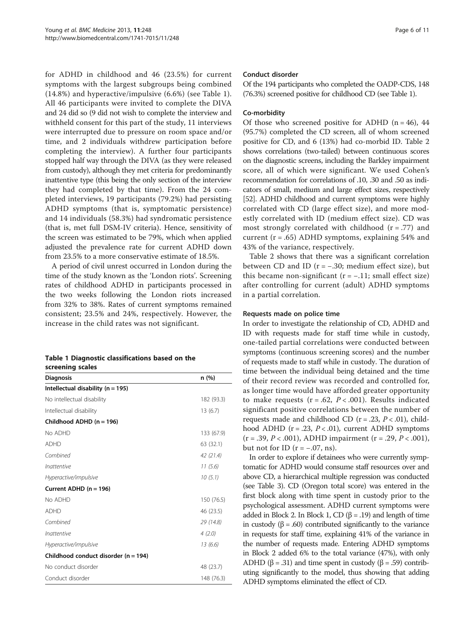<span id="page-5-0"></span>for ADHD in childhood and 46 (23.5%) for current symptoms with the largest subgroups being combined (14.8%) and hyperactive/impulsive (6.6%) (see Table 1). All 46 participants were invited to complete the DIVA and 24 did so (9 did not wish to complete the interview and withheld consent for this part of the study, 11 interviews were interrupted due to pressure on room space and/or time, and 2 individuals withdrew participation before completing the interview). A further four participants stopped half way through the DIVA (as they were released from custody), although they met criteria for predominantly inattentive type (this being the only section of the interview they had completed by that time). From the 24 completed interviews, 19 participants (79.2%) had persisting ADHD symptoms (that is, symptomatic persistence) and 14 individuals (58.3%) had syndromatic persistence (that is, met full DSM-IV criteria). Hence, sensitivity of the screen was estimated to be 79%, which when applied adjusted the prevalence rate for current ADHD down from 23.5% to a more conservative estimate of 18.5%.

A period of civil unrest occurred in London during the time of the study known as the 'London riots'. Screening rates of childhood ADHD in participants processed in the two weeks following the London riots increased from 32% to 38%. Rates of current symptoms remained consistent; 23.5% and 24%, respectively. However, the increase in the child rates was not significant.

#### Table 1 Diagnostic classifications based on the screening scales

| <b>Diagnosis</b>                      | n (%)      |
|---------------------------------------|------------|
| Intellectual disability ( $n = 195$ ) |            |
| No intellectual disability            | 182 (93.3) |
| Intellectual disability               | 13 (6.7)   |
| Childhood ADHD (n = 196)              |            |
| No ADHD                               | 133 (67.9) |
| <b>ADHD</b>                           | 63 (32.1)  |
| Combined                              | 42(21.4)   |
| Inattentive                           | 11(5.6)    |
| Hyperactive/impulsive                 | 10(5.1)    |
| Current ADHD $(n = 196)$              |            |
| No ADHD                               | 150 (76.5) |
| <b>ADHD</b>                           | 46 (23.5)  |
| Combined                              | 29 (14.8)  |
| Inattentive                           | 4(2.0)     |
| Hyperactive/impulsive                 | 13 (6.6)   |
| Childhood conduct disorder (n = 194)  |            |
| No conduct disorder                   | 48 (23.7)  |
| Conduct disorder                      | 148 (76.3) |

#### Conduct disorder

Of the 194 participants who completed the OADP-CDS, 148 (76.3%) screened positive for childhood CD (see Table 1).

#### Co-morbidity

Of those who screened positive for ADHD  $(n = 46)$ , 44 (95.7%) completed the CD screen, all of whom screened positive for CD, and 6 (13%) had co-morbid ID. Table [2](#page-6-0) shows correlations (two-tailed) between continuous scores on the diagnostic screens, including the Barkley impairment score, all of which were significant. We used Cohen's recommendation for correlations of .10, .30 and .50 as indicators of small, medium and large effect sizes, respectively [[52](#page-10-0)]. ADHD childhood and current symptoms were highly correlated with CD (large effect size), and more modestly correlated with ID (medium effect size). CD was most strongly correlated with childhood  $(r = .77)$  and current  $(r = .65)$  ADHD symptoms, explaining 54% and 43% of the variance, respectively.

Table [2](#page-6-0) shows that there was a significant correlation between CD and ID ( $r = -.30$ ; medium effect size), but this became non-significant  $(r = -.11; small effect size)$ after controlling for current (adult) ADHD symptoms in a partial correlation.

#### Requests made on police time

In order to investigate the relationship of CD, ADHD and ID with requests made for staff time while in custody, one-tailed partial correlations were conducted between symptoms (continuous screening scores) and the number of requests made to staff while in custody. The duration of time between the individual being detained and the time of their record review was recorded and controlled for, as longer time would have afforded greater opportunity to make requests ( $r = .62$ ,  $P < .001$ ). Results indicated significant positive correlations between the number of requests made and childhood CD ( $r = .23$ ,  $P < .01$ ), childhood ADHD ( $r = .23$ ,  $P < .01$ ), current ADHD symptoms  $(r = .39, P < .001)$ , ADHD impairment  $(r = .29, P < .001)$ , but not for ID ( $r = -.07$ , ns).

In order to explore if detainees who were currently symptomatic for ADHD would consume staff resources over and above CD, a hierarchical multiple regression was conducted (see Table [3\)](#page-6-0). CD (Oregon total score) was entered in the first block along with time spent in custody prior to the psychological assessment. ADHD current symptoms were added in Block 2. In Block 1, CD ( $β = .19$ ) and length of time in custody (β = .60) contributed significantly to the variance in requests for staff time, explaining 41% of the variance in the number of requests made. Entering ADHD symptoms in Block 2 added 6% to the total variance (47%), with only ADHD ( $\beta$  = .31) and time spent in custody ( $\beta$  = .59) contributing significantly to the model, thus showing that adding ADHD symptoms eliminated the effect of CD.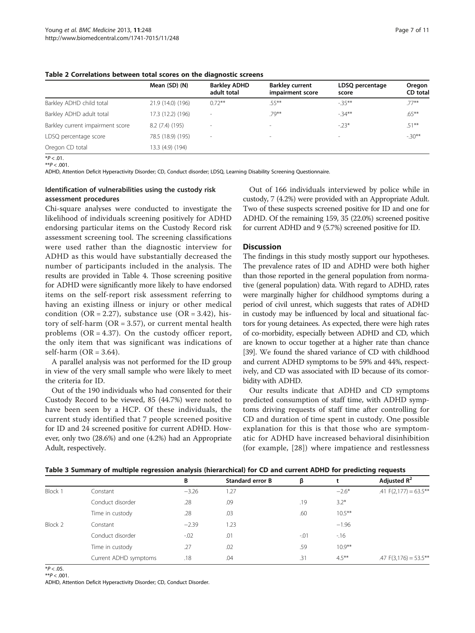|                                  | Mean (SD) (N)     | <b>Barkley ADHD</b><br>adult total | <b>Barkley current</b><br>impairment score | LDSQ percentage<br>score | Oregon<br>CD total |
|----------------------------------|-------------------|------------------------------------|--------------------------------------------|--------------------------|--------------------|
| Barkley ADHD child total         | 21.9 (14.0) (196) | $0.72***$                          | $.55***$                                   | $-35***$                 | $77***$            |
| Barkley ADHD adult total         | 17.3 (12.2) (196) |                                    | $.79***$                                   | $-34**$                  | $.65***$           |
| Barkley current impairment score | 8.2 (7.4) (195)   |                                    | $\sim$                                     | $-23*$                   | $.51***$           |
| LDSQ percentage score            | 78.5 (18.9) (195) |                                    | $\overline{\phantom{a}}$                   | $\sim$                   | $-.30**$           |
| Oregon CD total                  | 13.3 (4.9) (194)  |                                    |                                            |                          |                    |

<span id="page-6-0"></span>Table 2 Correlations between total scores on the diagnostic screens

 $*P < .01$ .  $*$ *\** $P > 001$ 

ADHD, Attention Deficit Hyperactivity Disorder; CD, Conduct disorder; LDSQ, Learning Disability Screening Questionnaire.

# Identification of vulnerabilities using the custody risk assessment procedures

Chi-square analyses were conducted to investigate the likelihood of individuals screening positively for ADHD endorsing particular items on the Custody Record risk assessment screening tool. The screening classifications were used rather than the diagnostic interview for ADHD as this would have substantially decreased the number of participants included in the analysis. The results are provided in Table [4.](#page-7-0) Those screening positive for ADHD were significantly more likely to have endorsed items on the self-report risk assessment referring to having an existing illness or injury or other medical condition (OR = 2.27), substance use (OR = 3.42), history of self-harm (OR = 3.57), or current mental health problems (OR = 4.37). On the custody officer report, the only item that was significant was indications of self-harm  $(OR = 3.64)$ .

A parallel analysis was not performed for the ID group in view of the very small sample who were likely to meet the criteria for ID.

Out of the 190 individuals who had consented for their Custody Record to be viewed, 85 (44.7%) were noted to have been seen by a HCP. Of these individuals, the current study identified that 7 people screened positive for ID and 24 screened positive for current ADHD. However, only two (28.6%) and one (4.2%) had an Appropriate Adult, respectively.

Out of 166 individuals interviewed by police while in custody, 7 (4.2%) were provided with an Appropriate Adult. Two of these suspects screened positive for ID and one for ADHD. Of the remaining 159, 35 (22.0%) screened positive for current ADHD and 9 (5.7%) screened positive for ID.

### **Discussion**

The findings in this study mostly support our hypotheses. The prevalence rates of ID and ADHD were both higher than those reported in the general population from normative (general population) data. With regard to ADHD, rates were marginally higher for childhood symptoms during a period of civil unrest, which suggests that rates of ADHD in custody may be influenced by local and situational factors for young detainees. As expected, there were high rates of co-morbidity, especially between ADHD and CD, which are known to occur together at a higher rate than chance [[39](#page-9-0)]. We found the shared variance of CD with childhood and current ADHD symptoms to be 59% and 44%, respectively, and CD was associated with ID because of its comorbidity with ADHD.

Our results indicate that ADHD and CD symptoms predicted consumption of staff time, with ADHD symptoms driving requests of staff time after controlling for CD and duration of time spent in custody. One possible explanation for this is that those who are symptomatic for ADHD have increased behavioral disinhibition (for example, [[28](#page-9-0)]) where impatience and restlessness

|         |                       | В       | <b>Standard error B</b> | ß      |           | Adjusted $R^2$           |
|---------|-----------------------|---------|-------------------------|--------|-----------|--------------------------|
| Block 1 | Constant              | $-3.26$ | 1.27                    |        | $-2.6*$   | .41 $F(2,177) = 63.5***$ |
|         | Conduct disorder      | .28     | .09                     | .19    | $3.2*$    |                          |
|         | Time in custody       | .28     | .03                     | .60    | $10.5***$ |                          |
| Block 2 | Constant              | $-2.39$ | 1.23                    |        | $-1.96$   |                          |
|         | Conduct disorder      | $-.02$  | .01                     | $-.01$ | $-16$     |                          |
|         | Time in custody       | .27     | .02                     | .59    | $10.9***$ |                          |
|         | Current ADHD symptoms | .18     | .04                     | .31    | $4.5***$  | $.47$ F(3,176) = 53.5**  |

### Table 3 Summary of multiple regression analysis (hierarchical) for CD and current ADHD for predicting requests

 $*P < .05$ .  $*$  $P$  < .001.

ADHD, Attention Deficit Hyperactivity Disorder; CD, Conduct Disorder.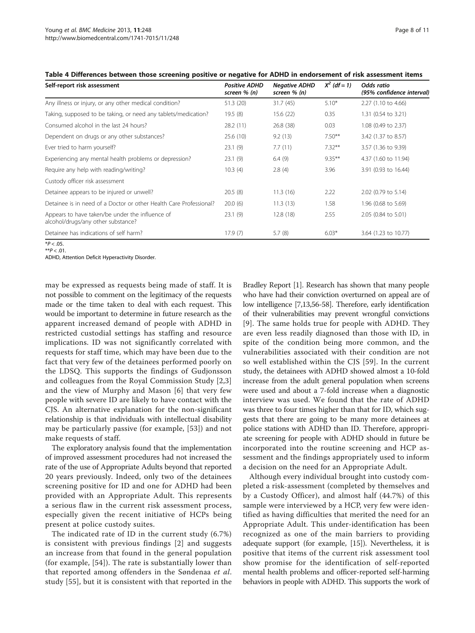| Self-report risk assessment                                                           | <b>Positive ADHD</b><br>screen % (n) | <b>Negative ADHD</b><br>screen % (n) | $X^2$ (df = 1) | Odds ratio<br>(95% confidence interval) |
|---------------------------------------------------------------------------------------|--------------------------------------|--------------------------------------|----------------|-----------------------------------------|
| Any illness or injury, or any other medical condition?                                | 51.3 (20)                            | 31.7(45)                             | $5.10*$        | 2.27 (1.10 to 4.66)                     |
| Taking, supposed to be taking, or need any tablets/medication?                        | 19.5(8)                              | 15.6(22)                             | 0.35           | 1.31 (0.54 to 3.21)                     |
| Consumed alcohol in the last 24 hours?                                                | 28.2(11)                             | 26.8 (38)                            | 0.03           | 1.08 (0.49 to 2.37)                     |
| Dependent on drugs or any other substances?                                           | 25.6(10)                             | 9.2(13)                              | $7.50**$       | 3.42 (1.37 to 8.57)                     |
| Ever tried to harm yourself?                                                          | 23.1(9)                              | 7.7(11)                              | $7.32***$      | 3.57 (1.36 to 9.39)                     |
| Experiencing any mental health problems or depression?                                | 23.1(9)                              | 6.4(9)                               | $9.35***$      | 4.37 (1.60 to 11.94)                    |
| Require any help with reading/writing?                                                | 10.3(4)                              | 2.8(4)                               | 3.96           | 3.91 (0.93 to 16.44)                    |
| Custody officer risk assessment                                                       |                                      |                                      |                |                                         |
| Detainee appears to be injured or unwell?                                             | 20.5(8)                              | 11.3(16)                             | 2.22           | 2.02 (0.79 to 5.14)                     |
| Detainee is in need of a Doctor or other Health Care Professional?                    | 20.0(6)                              | 11.3(13)                             | 1.58           | 1.96 (0.68 to 5.69)                     |
| Appears to have taken/be under the influence of<br>alcohol/drugs/any other substance? | 23.1(9)                              | 12.8(18)                             | 2.55           | 2.05 (0.84 to 5.01)                     |
| Detainee has indications of self harm?                                                | 17.9(7)                              | 5.7(8)                               | $6.03*$        | 3.64 (1.23 to 10.77)                    |

<span id="page-7-0"></span>Table 4 Differences between those screening positive or negative for ADHD in endorsement of risk assessment items

 $*P < .05$ . \*\* $P < .01$ .

ADHD, Attention Deficit Hyperactivity Disorder.

may be expressed as requests being made of staff. It is not possible to comment on the legitimacy of the requests made or the time taken to deal with each request. This would be important to determine in future research as the apparent increased demand of people with ADHD in restricted custodial settings has staffing and resource implications. ID was not significantly correlated with requests for staff time, which may have been due to the fact that very few of the detainees performed poorly on the LDSQ. This supports the findings of Gudjonsson and colleagues from the Royal Commission Study [[2,3](#page-9-0)] and the view of Murphy and Mason [[6\]](#page-9-0) that very few people with severe ID are likely to have contact with the CJS. An alternative explanation for the non-significant relationship is that individuals with intellectual disability may be particularly passive (for example, [[53](#page-10-0)]) and not make requests of staff.

The exploratory analysis found that the implementation of improved assessment procedures had not increased the rate of the use of Appropriate Adults beyond that reported 20 years previously. Indeed, only two of the detainees screening positive for ID and one for ADHD had been provided with an Appropriate Adult. This represents a serious flaw in the current risk assessment process, especially given the recent initiative of HCPs being present at police custody suites.

The indicated rate of ID in the current study (6.7%) is consistent with previous findings [[2](#page-9-0)] and suggests an increase from that found in the general population (for example, [[54](#page-10-0)]). The rate is substantially lower than that reported among offenders in the Søndenaa et al. study [[55\]](#page-10-0), but it is consistent with that reported in the

Bradley Report [[1\]](#page-9-0). Research has shown that many people who have had their conviction overturned on appeal are of low intelligence [[7,13,](#page-9-0)[56](#page-10-0)-[58](#page-10-0)]. Therefore, early identification of their vulnerabilities may prevent wrongful convictions [[9](#page-9-0)]. The same holds true for people with ADHD. They are even less readily diagnosed than those with ID, in spite of the condition being more common, and the vulnerabilities associated with their condition are not so well established within the CJS [\[59\]](#page-10-0). In the current study, the detainees with ADHD showed almost a 10-fold increase from the adult general population when screens were used and about a 7-fold increase when a diagnostic interview was used. We found that the rate of ADHD was three to four times higher than that for ID, which suggests that there are going to be many more detainees at police stations with ADHD than ID. Therefore, appropriate screening for people with ADHD should in future be incorporated into the routine screening and HCP assessment and the findings appropriately used to inform a decision on the need for an Appropriate Adult.

Although every individual brought into custody completed a risk-assessment (completed by themselves and by a Custody Officer), and almost half (44.7%) of this sample were interviewed by a HCP, very few were identified as having difficulties that merited the need for an Appropriate Adult. This under-identification has been recognized as one of the main barriers to providing adequate support (for example, [\[15\]](#page-9-0)). Nevertheless, it is positive that items of the current risk assessment tool show promise for the identification of self-reported mental health problems and officer-reported self-harming behaviors in people with ADHD. This supports the work of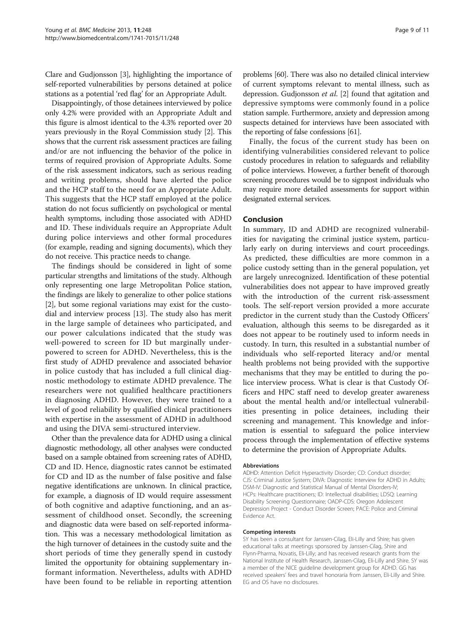Clare and Gudjonsson [[3](#page-9-0)], highlighting the importance of self-reported vulnerabilities by persons detained at police stations as a potential 'red flag' for an Appropriate Adult.

Disappointingly, of those detainees interviewed by police only 4.2% were provided with an Appropriate Adult and this figure is almost identical to the 4.3% reported over 20 years previously in the Royal Commission study [\[2](#page-9-0)]. This shows that the current risk assessment practices are failing and/or are not influencing the behavior of the police in terms of required provision of Appropriate Adults. Some of the risk assessment indicators, such as serious reading and writing problems, should have alerted the police and the HCP staff to the need for an Appropriate Adult. This suggests that the HCP staff employed at the police station do not focus sufficiently on psychological or mental health symptoms, including those associated with ADHD and ID. These individuals require an Appropriate Adult during police interviews and other formal procedures (for example, reading and signing documents), which they do not receive. This practice needs to change.

The findings should be considered in light of some particular strengths and limitations of the study. Although only representing one large Metropolitan Police station, the findings are likely to generalize to other police stations [[2\]](#page-9-0), but some regional variations may exist for the custodial and interview process [\[13\]](#page-9-0). The study also has merit in the large sample of detainees who participated, and our power calculations indicated that the study was well-powered to screen for ID but marginally underpowered to screen for ADHD. Nevertheless, this is the first study of ADHD prevalence and associated behavior in police custody that has included a full clinical diagnostic methodology to estimate ADHD prevalence. The researchers were not qualified healthcare practitioners in diagnosing ADHD. However, they were trained to a level of good reliability by qualified clinical practitioners with expertise in the assessment of ADHD in adulthood and using the DIVA semi-structured interview.

Other than the prevalence data for ADHD using a clinical diagnostic methodology, all other analyses were conducted based on a sample obtained from screening rates of ADHD, CD and ID. Hence, diagnostic rates cannot be estimated for CD and ID as the number of false positive and false negative identifications are unknown. In clinical practice, for example, a diagnosis of ID would require assessment of both cognitive and adaptive functioning, and an assessment of childhood onset. Secondly, the screening and diagnostic data were based on self-reported information. This was a necessary methodological limitation as the high turnover of detainees in the custody suite and the short periods of time they generally spend in custody limited the opportunity for obtaining supplementary informant information. Nevertheless, adults with ADHD have been found to be reliable in reporting attention problems [\[60\]](#page-10-0). There was also no detailed clinical interview of current symptoms relevant to mental illness, such as depression. Gudjonsson et al. [[2\]](#page-9-0) found that agitation and depressive symptoms were commonly found in a police station sample. Furthermore, anxiety and depression among suspects detained for interviews have been associated with the reporting of false confessions [[61](#page-10-0)].

Finally, the focus of the current study has been on identifying vulnerabilities considered relevant to police custody procedures in relation to safeguards and reliability of police interviews. However, a further benefit of thorough screening procedures would be to signpost individuals who may require more detailed assessments for support within designated external services.

#### Conclusion

In summary, ID and ADHD are recognized vulnerabilities for navigating the criminal justice system, particularly early on during interviews and court proceedings. As predicted, these difficulties are more common in a police custody setting than in the general population, yet are largely unrecognized. Identification of these potential vulnerabilities does not appear to have improved greatly with the introduction of the current risk-assessment tools. The self-report version provided a more accurate predictor in the current study than the Custody Officers' evaluation, although this seems to be disregarded as it does not appear to be routinely used to inform needs in custody. In turn, this resulted in a substantial number of individuals who self-reported literacy and/or mental health problems not being provided with the supportive mechanisms that they may be entitled to during the police interview process. What is clear is that Custody Officers and HPC staff need to develop greater awareness about the mental health and/or intellectual vulnerabilities presenting in police detainees, including their screening and management. This knowledge and information is essential to safeguard the police interview process through the implementation of effective systems to determine the provision of Appropriate Adults.

#### Abbreviations

ADHD: Attention Deficit Hyperactivity Disorder; CD: Conduct disorder; CJS: Criminal Justice System; DIVA: Diagnostic Interview for ADHD in Adults; DSM-IV: Diagnostic and Statistical Manual of Mental Disorders-IV; HCPs: Healthcare practitioners; ID: Intellectual disabilities; LDSQ: Learning Disability Screening Questionnaire; OADP-CDS: Oregon Adolescent Depression Project - Conduct Disorder Screen; PACE: Police and Criminal Evidence Act.

#### Competing interests

SY has been a consultant for Janssen-Cilag, Eli-Lilly and Shire; has given educational talks at meetings sponsored by Janssen-Cilag, Shire and Flynn-Pharma, Novatis, Eli-Lilly; and has received research grants from the National Institute of Health Research, Janssen-Cilag, Eli-Lilly and Shire. SY was a member of the NICE guideline development group for ADHD. GG has received speakers' fees and travel honoraria from Janssen, Eli-Lilly and Shire. EG and OS have no disclosures.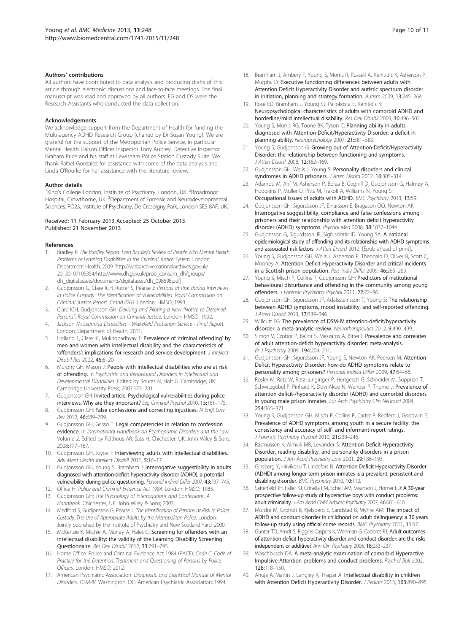#### <span id="page-9-0"></span>Authors' contributions

All authors have contributed to data analysis and producing drafts of this article through electronic discussions and face-to-face meetings. The final manuscript was read and approved by all authors. EG and OS were the Research Assistants who conducted the data collection.

#### Acknowledgements

We acknowledge support from the Department of Health for funding the Multi-agency ADHD Research Group (chaired by Dr Susan Young). We are grateful for the support of the Metropolitan Police Service, in particular Mental Health Liaison Officer Inspector Tony Aubrey, Detective Inspector Graham Price and his staff at Lewisham Police Station Custody Suite. We thank Rafael Gonzalez for assistance with some of the data analysis and Linda O'Rourke for her assistance with the literature review.

#### Author details

<sup>1</sup>King's College London, Institute of Psychiatry, London, UK.<sup>2</sup>Broadmoor Hospital, Crowthorne, UK. <sup>3</sup>Department of Forensic and Neurodevelopmental Sciences, PO23, Institute of Psychiatry, De Crespigny Park, London SE5 8AF, UK.

#### Received: 11 February 2013 Accepted: 25 October 2013 Published: 21 November 2013

#### References

- Bradley K: The Bradley Report: Lord Bradley's Review of People with Mental Health Problems or Learning Disabilities in the Criminal Justice System. London: Department Health; 2009 [\[http://webarchive.nationalarchives.gov.uk/](http://webarchive.nationalarchives.gov.uk/20130107105354/http://www.dh.gov.uk/prod_consum_dh/groups/dh_digitalassets/documents/digitalasset/dh_098698.pdf) [20130107105354/http://www.dh.gov.uk/prod\\_consum\\_dh/groups/](http://webarchive.nationalarchives.gov.uk/20130107105354/http://www.dh.gov.uk/prod_consum_dh/groups/dh_digitalassets/documents/digitalasset/dh_098698.pdf) [dh\\_digitalassets/documents/digitalasset/dh\\_098698.pdf\]](http://webarchive.nationalarchives.gov.uk/20130107105354/http://www.dh.gov.uk/prod_consum_dh/groups/dh_digitalassets/documents/digitalasset/dh_098698.pdf)
- 2. Gudjonsson G, Clare ICH, Rutter S, Pearse J: Persons at Risk during Interviews in Police Custody: The Identification of Vulnerabilities. Royal Commission on Criminal Justice Report. Cmnd.2263. London: HMSO; 1993.
- 3. Clare ICH, Gudjonsson GH: Devising and Piloting a New "Notice to Detained Persons". Royal Commission on Criminal Justice. London: HMSO; 1992.
- 4. Jackson M: Learning Disabilities Wakefield Probation Service Final Report. London: Department of Health; 2011.
- 5. Holland T, Clare IC, Mukhopadhyay T: Prevalence of 'criminal offending' by men and women with intellectual disability and the characteristics of 'offenders': implications for research and service development. J Intellect Disabil Res 2002, 46:6–20.
- Murphy GH, Mason J: People with intellectual disabilities who are at risk of offending. In Psychiatric and Behavioural Disorders in Intellectual and Developmental Disabilities. Edited by Bouras N, Holt G. Cambridge, UK: Cambridge University Press; 2007:173–201.
- 7. Gudjonsson GH: Invited article. Psychological vulnerabilities during police interviews. Why are they important? Leg Criminol Psychol 2010, 15:161-175.
- 8. Gudjonsson GH: False confessions and correcting injustices. N Engl Law Rev 2012, 46:689–709.
- Gudjonsson GH, Grisso T: Legal competencies in relation to confession evidence. In International Handbook on Psychopathic Disorders and the Law, Volume 2. Edited by Felthous AR, Sass H. Chichester, UK: John Wiley & Sons; 2008:177–187.
- 10. Gudjonsson GH, Joyce T: Interviewing adults with intellectual disabilities. Adv Ment Health Intellect Disabil 2011, 5:16–17.
- 11. Gudjonsson GH, Young S, Bramham J: Interrogative suggestibility in adults diagnosed with attention-deficit hyperactivity disorder (ADHD), a potential vulnerability during police questioning. Personal Individ Differ 2007, 43:737–745.
- 12. Office H: Police and Criminal Evidence Act 1984. London: HMSO; 1985.
- 13. Gudjonsson GH: The Psychology of Interrogations and Confessions. A Handbook. Chichester, UK: John Wiley & Sons; 2003.
- 14. Medford S, Gudjonsson G, Pearse J: The Identification of Persons at Risk in Police Custody. The Use of Appropriate Adults by the Metropolitan Police. London: Jointly published by the Institute of Psychiatry and New Scotland Yard; 2000.
- 15. McKenzie K, Michie A, Murray A, Hales C: Screening for offenders with an intellectual disability: the validity of the Learning Disability Screening Questionnaire. Res Dev Disabil 2012, 33:791–795.
- 16. Home Office: Police and Criminal Evidence Act 1984 (PACE): Code C. Code of Practice for the Detention, Treatment and Questioning of Persons by Police Officers. London: HMSO; 2012.
- 17. American Psychiatric Association: Diagnostic and Statistical Manual of Mental Disorders. DSM-IV. Washington, DC: American Psychiatric Association; 1994.
- 18. Bramham J, Ambery F, Young S, Morris R, Russell A, Xenitidis K, Asherson P, Murphy D: Executive functioning differences between adults with Attention Deficit Hyperactivity Disorder and autistic spectrum disorder in initiation, planning and strategy formation. Autism 2009, 13:245–264.
- 19. Rose ED, Bramham J, Young SJ, Paliokosta E, Xenitidis K: Neuropsychological characteristics of adults with comorbid ADHD and borderline/mild intellectual disability. Res Dev Disabil 2009, 30:496–502.
- 20. Young S, Morris RG, Toone BK, Tyson C: Planning ability in adults diagnosed with Attention-Deficit/Hyperactivity Disorder: a deficit in planning ability. Neuropsychology 2007, 21:581–589.
- 21. Young S, Gudjonsson G: Growing out of Attention-Deficit/Hyperactivity Disorder: the relationship between functioning and symptoms. J Atten Disord 2008, 12:162–169.
- 22. Gudjonsson GH, Wells J, Young S: Personality disorders and clinical syndromes in ADHD prisoners. J Atten Disord 2012, 16:305-314.
- 23. Adamou M, Arif M, Asherson P, Bolea B, Coghill D, Gudjonsson G, Halmøy A, Hodgkins P, Müller U, Pitts M, Trakoli A, Williams N, Young S: Occupational issues of adults with ADHD. BMC Psychiatry 2013, 13:59.
- 24. Gudjonsson GH, Sigurdsson JF, Einarsson E, Bragason OO, Newton AK: Interrogative suggestibility, compliance and false confessions among prisoners and their relationship with attention deficit hyperactivity disorder (ADHD) symptoms. Psychol Med 2008, 38:1037-1044
- 25. Gudjonsson G, Sigurdsson JF, Sigfusdottir ID, Young SA: A national epidemiological study of offending and its relationship with ADHD symptoms and associated risk factors. J Atten Disord 2012. [Epub ahead of print].
- 26. Young S, Gudjonsson GH, Wells J, Asherson P, Theobald D, Oliver B, Scott C, Mooney A: Attention Deficit Hyperactivity Disorder and critical incidents in a Scottish prison population. Pers Indiv Differ 2009, 46:265-269.
- Young S, Misch P, Collins P, Gudjonsson GH: Predictors of institutional behavioural disturbance and offending in the community among young offenders. J Forensic Psychiatry Psychol 2011, 22:72–86.
- 28. Gudjonsson GH, Sigurdsson JF, Adalssteinsson T, Young S: The relationship between ADHD symptoms, mood instability, and self-reported offending. J Atten Disord 2013, 17:339–346.
- 29. Willcutt EG: The prevalence of DSM-IV attention-deficit/hyperactivity disorder: a meta-analytic review. Neurotherapeutics 2012, 9:490-499.
- 30. Simon V, Czobor P, Balint S, Meszaros A, Bitter I: Prevalence and correlates of adult attention-deficit hyperactivity disorder: meta-analysis. Br J Psychiatry 2009, 194:204–211.
- 31. Gudjonsson GH, Sigurdsson JF, Young S, Newton AK, Peersen M: Attention Deficit Hyperactivity Disorder: how do ADHD symptoms relate to personality among prisoners? Personal Individ Differ 2009, 47:64-68.
- Rösler M, Retz W, Retz-Junginger P, Hengesch G, Schneider M, Supprian T, Schwitzgebel P, Pinhard K, Dovi-Akue N, Wender P, Thome J: Prevalence of attention deficit-/hyperactivity disorder (ADHD) and comorbid disorders in young male prison inmates. Eur Arch Psychiatry Clin Neurosci 2004, 254:365–371.
- 33. Young S, Gudjonsson GH, Misch P, Collins P, Carter P, Redfern J, Goodwin E: Prevalence of ADHD symptoms among youth in a secure facility: the consistency and accuracy of self- and informant-report ratings. J Forensic Psychiatry Psychol 2010, 21:238-246.
- 34. Rasmussen K, Almvik MR, Levander S: Attention Deficit Hyperactivity Disorder, reading disability, and personality disorders in a prison population. J Am Acad Psychiatry Law 2001, 29:186-193.
- 35. Ginsberg Y, Hirvikoski T, Lindefors N: Attention Deficit Hyperactivity Disorder (ADHD) among longer-term prison inmates is a prevalent, persistent and disabling disorder. BMC Psychiatry 2010, 10:112.
- 36. Satterfield JH, Faller KJ, Crinella FM, Schell AM, Swanson J, Homer LD: A 30-year prospective follow-up study of hyperactive boys with conduct problems: adult criminality. J Am Acad Child Adolesc Psychiatry 2007, 46:601–610.
- 37. Mordre M, Groholt B, Kjelsberg E, Sandstad B, Myhre AM: The impact of ADHD and conduct disorder in childhood on adult delinquency: a 30 years follow-up study using official crime records. BMC Psychiatry 2011, 11:57
- Gunter TD, Arndt S, Riggins-Caspers K, Wenman G, Cadoret RJ: Adult outcomes of attention deficit hyperactivity disorder and conduct disorder: are the risks independent or additive? Ann Clin Psychiatry 2006, 18:233–237.
- 39. Waschbusch DA: A meta-analytic examination of comorbid Hyperactive Impulsive-Attention problems and conduct problems. Psychol Bull 2002, 128:118–150.
- 40. Ahuja A, Martin J, Langley K, Thapar A: Intellectual disability in children with Attention Deficit Hyperactivity Disorder. J Pediatr 2013, 163:890-895.